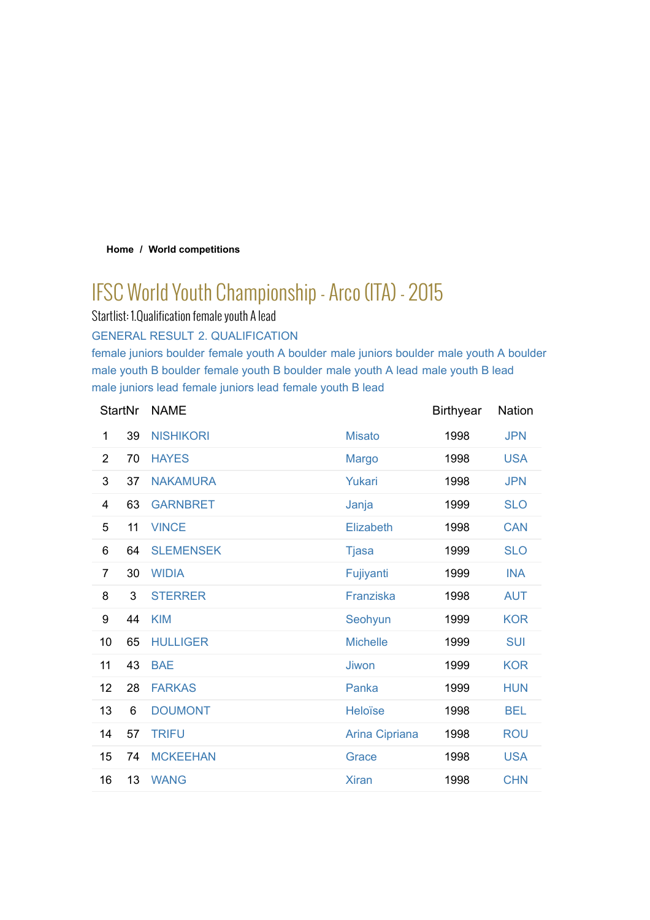#### **Home / World competitions**

# IFSC World Youth Championship - Arco (ITA) - 2015

Startlist: 1.Qualification female youth A lead

GENERAL RESULT 2. QUALIFICATION

female juniors boulder female youth A boulder male juniors boulder male youth A boulder male youth B boulder female youth B boulder male youth A lead male youth B lead male juniors lead female juniors lead female youth B lead

|                | <b>StartNr</b> | <b>NAME</b>      |                 | <b>Birthyear</b> | Nation     |
|----------------|----------------|------------------|-----------------|------------------|------------|
| 1              | 39             | <b>NISHIKORI</b> | <b>Misato</b>   | 1998             | <b>JPN</b> |
| $\overline{2}$ | 70             | <b>HAYES</b>     | <b>Margo</b>    | 1998             | <b>USA</b> |
| 3              | 37             | <b>NAKAMURA</b>  | Yukari          | 1998             | <b>JPN</b> |
| 4              | 63             | <b>GARNBRET</b>  | Janja           | 1999             | <b>SLO</b> |
| 5              | 11             | <b>VINCE</b>     | Elizabeth       | 1998             | <b>CAN</b> |
| 6              | 64             | <b>SLEMENSEK</b> | <b>Tjasa</b>    | 1999             | <b>SLO</b> |
| $\overline{7}$ | 30             | <b>WIDIA</b>     | Fujiyanti       | 1999             | <b>INA</b> |
| 8              | 3              | <b>STERRER</b>   | Franziska       | 1998             | <b>AUT</b> |
| 9              | 44             | <b>KIM</b>       | Seohyun         | 1999             | <b>KOR</b> |
| 10             | 65             | <b>HULLIGER</b>  | <b>Michelle</b> | 1999             | <b>SUI</b> |
| 11             | 43             | <b>BAE</b>       | Jiwon           | 1999             | <b>KOR</b> |
| 12             | 28             | <b>FARKAS</b>    | Panka           | 1999             | <b>HUN</b> |
| 13             | 6              | <b>DOUMONT</b>   | Heloïse         | 1998             | <b>BEL</b> |
| 14             | 57             | <b>TRIFU</b>     | Arina Cipriana  | 1998             | <b>ROU</b> |
| 15             | 74             | <b>MCKEEHAN</b>  | Grace           | 1998             | <b>USA</b> |
| 16             | 13             | <b>WANG</b>      | <b>Xiran</b>    | 1998             | <b>CHN</b> |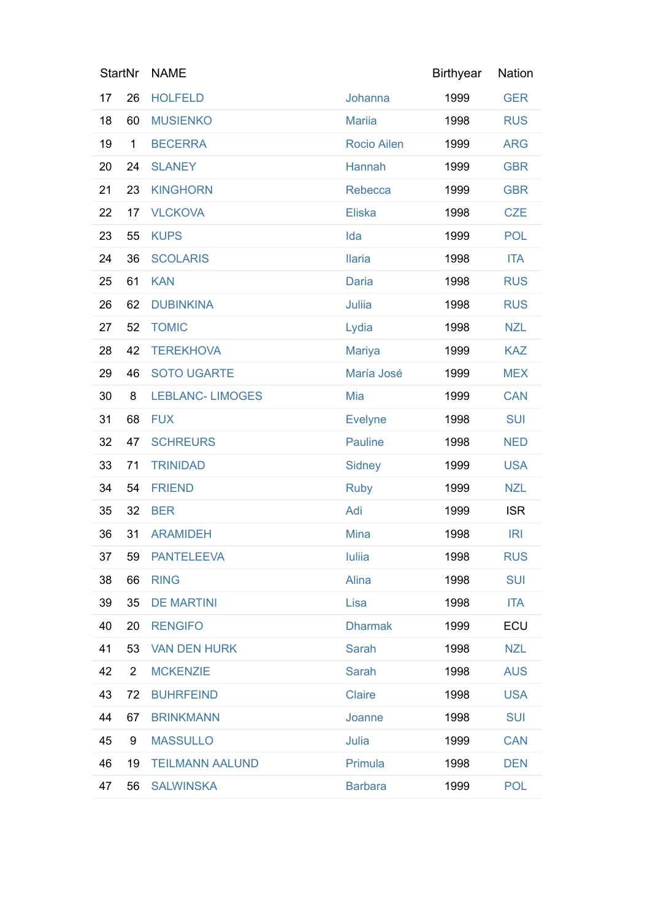|    | <b>StartNr</b> | <b>NAME</b>             |                    | <b>Birthyear</b> | Nation     |
|----|----------------|-------------------------|--------------------|------------------|------------|
| 17 | 26             | <b>HOLFELD</b>          | Johanna            | 1999             | <b>GER</b> |
| 18 | 60             | <b>MUSIENKO</b>         | <b>Mariia</b>      | 1998             | <b>RUS</b> |
| 19 | $\mathbf{1}$   | <b>BECERRA</b>          | <b>Rocio Ailen</b> | 1999             | <b>ARG</b> |
| 20 | 24             | <b>SLANEY</b>           | Hannah             | 1999             | <b>GBR</b> |
| 21 | 23             | <b>KINGHORN</b>         | Rebecca            | 1999             | <b>GBR</b> |
| 22 | 17             | <b>VLCKOVA</b>          | <b>Eliska</b>      | 1998             | <b>CZE</b> |
| 23 | 55             | <b>KUPS</b>             | Ida                | 1999             | <b>POL</b> |
| 24 | 36             | <b>SCOLARIS</b>         | <b>Ilaria</b>      | 1998             | <b>ITA</b> |
| 25 | 61             | <b>KAN</b>              | <b>Daria</b>       | 1998             | <b>RUS</b> |
| 26 | 62             | <b>DUBINKINA</b>        | Juliia             | 1998             | <b>RUS</b> |
| 27 | 52             | <b>TOMIC</b>            | Lydia              | 1998             | <b>NZL</b> |
| 28 | 42             | <b>TEREKHOVA</b>        | <b>Mariya</b>      | 1999             | <b>KAZ</b> |
| 29 | 46             | <b>SOTO UGARTE</b>      | María José         | 1999             | <b>MEX</b> |
| 30 | 8              | <b>LEBLANC- LIMOGES</b> | Mia                | 1999             | <b>CAN</b> |
| 31 | 68             | <b>FUX</b>              | <b>Evelyne</b>     | 1998             | <b>SUI</b> |
| 32 | 47             | <b>SCHREURS</b>         | <b>Pauline</b>     | 1998             | <b>NED</b> |
| 33 | 71             | <b>TRINIDAD</b>         | <b>Sidney</b>      | 1999             | <b>USA</b> |
| 34 | 54             | <b>FRIEND</b>           | <b>Ruby</b>        | 1999             | <b>NZL</b> |
| 35 | 32             | <b>BER</b>              | Adi                | 1999             | <b>ISR</b> |
| 36 | 31             | <b>ARAMIDEH</b>         | <b>Mina</b>        | 1998             | IRI        |
| 37 |                | 59 PANTELEEVA           | <b>Iuliia</b>      | 1998             | <b>RUS</b> |
| 38 | 66             | <b>RING</b>             | Alina              | 1998             | <b>SUI</b> |
| 39 | 35             | <b>DE MARTINI</b>       | Lisa               | 1998             | <b>ITA</b> |
| 40 | 20             | <b>RENGIFO</b>          | <b>Dharmak</b>     | 1999             | ECU        |
| 41 | 53             | <b>VAN DEN HURK</b>     | Sarah              | 1998             | <b>NZL</b> |
| 42 | $\overline{2}$ | <b>MCKENZIE</b>         | <b>Sarah</b>       | 1998             | <b>AUS</b> |
| 43 | 72             | <b>BUHRFEIND</b>        | <b>Claire</b>      | 1998             | <b>USA</b> |
| 44 | 67             | <b>BRINKMANN</b>        | Joanne             | 1998             | <b>SUI</b> |
| 45 | 9              | <b>MASSULLO</b>         | Julia              | 1999             | <b>CAN</b> |
| 46 | 19             | <b>TEILMANN AALUND</b>  | Primula            | 1998             | <b>DEN</b> |
| 47 | 56             | <b>SALWINSKA</b>        | <b>Barbara</b>     | 1999             | <b>POL</b> |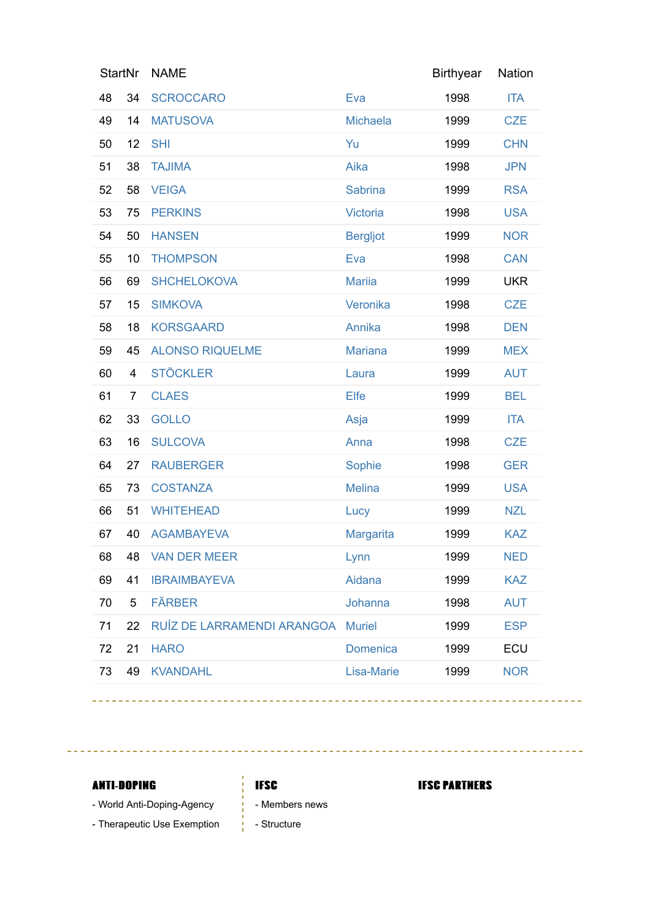| <b>StartNr</b> |                         | <b>NAME</b>                |                  | <b>Birthyear</b> | Nation     |
|----------------|-------------------------|----------------------------|------------------|------------------|------------|
| 48             | 34                      | <b>SCROCCARO</b>           | Eva              | 1998             | <b>ITA</b> |
| 49             | 14                      | <b>MATUSOVA</b>            | <b>Michaela</b>  | 1999             | <b>CZE</b> |
| 50             | 12                      | <b>SHI</b>                 | Yu               | 1999             | <b>CHN</b> |
| 51             | 38                      | <b>TAJIMA</b>              | Aika             | 1998             | <b>JPN</b> |
| 52             | 58                      | <b>VEIGA</b>               | <b>Sabrina</b>   | 1999             | <b>RSA</b> |
| 53             | 75                      | <b>PERKINS</b>             | <b>Victoria</b>  | 1998             | <b>USA</b> |
| 54             | 50                      | <b>HANSEN</b>              | <b>Bergljot</b>  | 1999             | <b>NOR</b> |
| 55             | 10                      | <b>THOMPSON</b>            | Eva              | 1998             | <b>CAN</b> |
| 56             | 69                      | <b>SHCHELOKOVA</b>         | <b>Mariia</b>    | 1999             | <b>UKR</b> |
| 57             | 15                      | <b>SIMKOVA</b>             | Veronika         | 1998             | <b>CZE</b> |
| 58             | 18                      | <b>KORSGAARD</b>           | Annika           | 1998             | <b>DEN</b> |
| 59             | 45                      | <b>ALONSO RIQUELME</b>     | <b>Mariana</b>   | 1999             | <b>MEX</b> |
| 60             | $\overline{\mathbf{4}}$ | <b>STÖCKLER</b>            | Laura            | 1999             | <b>AUT</b> |
| 61             | $\overline{7}$          | <b>CLAES</b>               | Elfe             | 1999             | <b>BEL</b> |
| 62             | 33                      | <b>GOLLO</b>               | Asja             | 1999             | <b>ITA</b> |
| 63             | 16                      | <b>SULCOVA</b>             | Anna             | 1998             | <b>CZE</b> |
| 64             | 27                      | <b>RAUBERGER</b>           | Sophie           | 1998             | <b>GER</b> |
| 65             | 73                      | <b>COSTANZA</b>            | <b>Melina</b>    | 1999             | <b>USA</b> |
| 66             | 51                      | <b>WHITEHEAD</b>           | Lucy             | 1999             | <b>NZL</b> |
| 67             | 40                      | <b>AGAMBAYEVA</b>          | <b>Margarita</b> | 1999             | <b>KAZ</b> |
| 68             | 48                      | <b>VAN DER MEER</b>        | Lynn             | 1999             | <b>NED</b> |
| 69             | 41                      | <b>IBRAIMBAYEVA</b>        | Aidana           | 1999             | <b>KAZ</b> |
| 70             | 5                       | <b>FÄRBER</b>              | Johanna          | 1998             | <b>AUT</b> |
| 71             | 22                      | RUÍZ DE LARRAMENDI ARANGOA | <b>Muriel</b>    | 1999             | <b>ESP</b> |
| 72             | 21                      | <b>HARO</b>                | Domenica         | 1999             | ECU        |
| 73             | 49                      | <b>KVANDAHL</b>            | Lisa-Marie       | 1999             | <b>NOR</b> |

 $\sim$   $\sim$   $\sim$ 

## **ANTI-DOPING**

- World Anti-Doping-Agency
- Therapeutic Use Exemption

# **IFSC**

 $\frac{1}{4}$  .

### **IFSC PARTMERS**

- $\frac{1}{2}$  Members news
- $\frac{1}{1}$  Structure